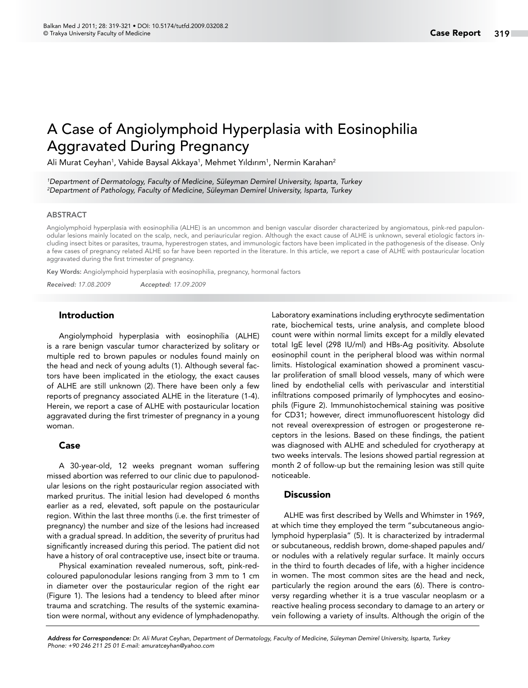# A Case of Angiolymphoid Hyperplasia with Eosinophilia Aggravated During Pregnancy

Ali Murat Ceyhan<sup>1</sup>, Vahide Baysal Akkaya<sup>1</sup>, Mehmet Yıldırım<sup>1</sup>, Nermin Karahan<sup>2</sup>

*1 Department of Dermatology, Faculty of Medicine, Süleyman Demirel University, Isparta, Turkey 2 Department of Pathology, Faculty of Medicine, Süleyman Demirel University, Isparta, Turkey*

#### ABSTRACT

Angiolymphoid hyperplasia with eosinophilia (ALHE) is an uncommon and benign vascular disorder characterized by angiomatous, pink-red papulonodular lesions mainly located on the scalp, neck, and periauricular region. Although the exact cause of ALHE is unknown, several etiologic factors including insect bites or parasites, trauma, hyperestrogen states, and immunologic factors have been implicated in the pathogenesis of the disease. Only a few cases of pregnancy related ALHE so far have been reported in the literature. In this article, we report a case of ALHE with postauricular location aggravated during the first trimester of pregnancy.

Key Words: Angiolymphoid hyperplasia with eosinophilia, pregnancy, hormonal factors

*Received: 17.08.2009 Accepted: 17.09.2009*

#### Introduction

Angiolymphoid hyperplasia with eosinophilia (ALHE) is a rare benign vascular tumor characterized by solitary or multiple red to brown papules or nodules found mainly on the head and neck of young adults (1). Although several factors have been implicated in the etiology, the exact causes of ALHE are still unknown (2). There have been only a few reports of pregnancy associated ALHE in the literature (1-4). Herein, we report a case of ALHE with postauricular location aggravated during the first trimester of pregnancy in a young woman.

### Case

A 30-year-old, 12 weeks pregnant woman suffering missed abortion was referred to our clinic due to papulonodular lesions on the right postauricular region associated with marked pruritus. The initial lesion had developed 6 months earlier as a red, elevated, soft papule on the postauricular region. Within the last three months (i.e. the first trimester of pregnancy) the number and size of the lesions had increased with a gradual spread. In addition, the severity of pruritus had significantly increased during this period. The patient did not have a history of oral contraceptive use, insect bite or trauma.

Physical examination revealed numerous, soft, pink-redcoloured papulonodular lesions ranging from 3 mm to 1 cm in diameter over the postauricular region of the right ear (Figure 1). The lesions had a tendency to bleed after minor trauma and scratching. The results of the systemic examination were normal, without any evidence of lymphadenopathy. Laboratory examinations including erythrocyte sedimentation rate, biochemical tests, urine analysis, and complete blood count were within normal limits except for a mildly elevated total IgE level (298 IU/ml) and HBs-Ag positivity. Absolute eosinophil count in the peripheral blood was within normal limits. Histological examination showed a prominent vascular proliferation of small blood vessels, many of which were lined by endothelial cells with perivascular and interstitial infiltrations composed primarily of lymphocytes and eosinophils (Figure 2). Immunohistochemical staining was positive for CD31; however, direct immunofluorescent histology did not reveal overexpression of estrogen or progesterone receptors in the lesions. Based on these findings, the patient was diagnosed with ALHE and scheduled for cryotherapy at two weeks intervals. The lesions showed partial regression at month 2 of follow-up but the remaining lesion was still quite noticeable.

### **Discussion**

ALHE was first described by Wells and Whimster in 1969, at which time they employed the term "subcutaneous angiolymphoid hyperplasia" (5). It is characterized by intradermal or subcutaneous, reddish brown, dome-shaped papules and/ or nodules with a relatively regular surface. It mainly occurs in the third to fourth decades of life, with a higher incidence in women. The most common sites are the head and neck, particularly the region around the ears (6). There is controversy regarding whether it is a true vascular neoplasm or a reactive healing process secondary to damage to an artery or vein following a variety of insults. Although the origin of the

*Address for Correspondence: Dr. Ali Murat Ceyhan, Department of Dermatology, Faculty of Medicine, Süleyman Demirel University, Isparta, Turkey Phone: +90 246 211 25 01 E-mail: amuratceyhan@yahoo.com*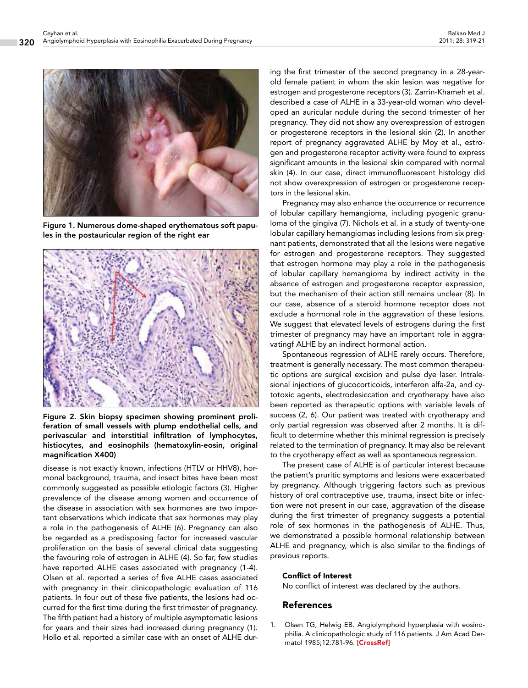

Figure 1. Numerous dome-shaped erythematous soft papules in the postauricular region of the right ear



Figure 2. Skin biopsy specimen showing prominent proliferation of small vessels with plump endothelial cells, and perivascular and interstitial infiltration of lymphocytes, histiocytes, and eosinophils (hematoxylin-eosin, original magnification X400)

disease is not exactly known, infections (HTLV or HHV8), hormonal background, trauma, and insect bites have been most commonly suggested as possible etiologic factors (3). Higher prevalence of the disease among women and occurrence of the disease in association with sex hormones are two important observations which indicate that sex hormones may play a role in the pathogenesis of ALHE (6). Pregnancy can also be regarded as a predisposing factor for increased vascular proliferation on the basis of several clinical data suggesting the favouring role of estrogen in ALHE (4). So far, few studies have reported ALHE cases associated with pregnancy (1-4). Olsen et al. reported a series of five ALHE cases associated with pregnancy in their clinicopathologic evaluation of 116 patients. In four out of these five patients, the lesions had occurred for the first time during the first trimester of pregnancy. The fifth patient had a history of multiple asymptomatic lesions for years and their sizes had increased during pregnancy (1). Hollo et al. reported a similar case with an onset of ALHE during the first trimester of the second pregnancy in a 28-yearold female patient in whom the skin lesion was negative for estrogen and progesterone receptors (3). Zarrin-Khameh et al. described a case of ALHE in a 33-year-old woman who developed an auricular nodule during the second trimester of her pregnancy. They did not show any overexpression of estrogen or progesterone receptors in the lesional skin (2). In another report of pregnancy aggravated ALHE by Moy et al., estrogen and progesterone receptor activity were found to express significant amounts in the lesional skin compared with normal skin (4). In our case, direct immunofluorescent histology did not show overexpression of estrogen or progesterone receptors in the lesional skin.

Pregnancy may also enhance the occurrence or recurrence of lobular capillary hemangioma, including pyogenic granuloma of the gingiva (7). Nichols et al. in a study of twenty-one lobular capillary hemangiomas including lesions from six pregnant patients, demonstrated that all the lesions were negative for estrogen and progesterone receptors. They suggested that estrogen hormone may play a role in the pathogenesis of lobular capillary hemangioma by indirect activity in the absence of estrogen and progesterone receptor expression, but the mechanism of their action still remains unclear (8). In our case, absence of a steroid hormone receptor does not exclude a hormonal role in the aggravation of these lesions. We suggest that elevated levels of estrogens during the first trimester of pregnancy may have an important role in aggravatingf ALHE by an indirect hormonal action.

Spontaneous regression of ALHE rarely occurs. Therefore, treatment is generally necessary. The most common therapeutic options are surgical excision and pulse dye laser. Intralesional injections of glucocorticoids, interferon alfa-2a, and cytotoxic agents, electrodesiccation and cryotherapy have also been reported as therapeutic options with variable levels of success (2, 6). Our patient was treated with cryotherapy and only partial regression was observed after 2 months. It is difficult to determine whether this minimal regression is precisely related to the termination of pregnancy. It may also be relevant to the cryotherapy effect as well as spontaneous regression.

The present case of ALHE is of particular interest because the patient's pruritic symptoms and lesions were exacerbated by pregnancy. Although triggering factors such as previous history of oral contraceptive use, trauma, insect bite or infection were not present in our case, aggravation of the disease during the first trimester of pregnancy suggests a potential role of sex hormones in the pathogenesis of ALHE. Thus, we demonstrated a possible hormonal relationship between ALHE and pregnancy, which is also similar to the findings of previous reports.

### Conflict of Interest

No conflict of interest was declared by the authors.

## References

1. Olsen TG, Helwig EB. Angiolymphoid hyperplasia with eosinophilia. A clinicopathologic study of 116 patients. J Am Acad Dermatol 1985;12:781-96. [\[CrossRef\]](http://dx.doi.org/10.1016/S0190-9622(85)70098-9)